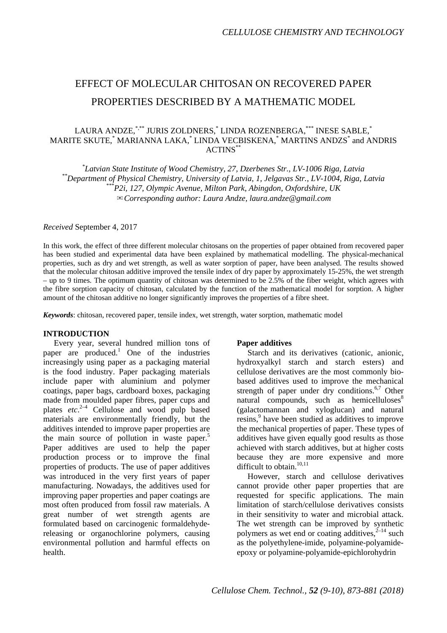# EFFECT OF MOLECULAR CHITOSAN ON RECOVERED PAPER PROPERTIES DESCRIBED BY A MATHEMATIC MODEL

# LAURA ANDZE,\*<sup>\*\*</sup> JURIS ZOLDNERS,<sup>\*</sup> LINDA ROZENBERGA,<sup>\*\*\*</sup> INESE SABLE,<sup>\*</sup> MARITE SKUTE, \* MARIANNA LAKA, \* LINDA VECBISKENA, \* MARTINS ANDZS\* and ANDRIS ACTINS\*\*

<sup>\*</sup>Latvian State Institute of Wood Chemistry, 27, Dzerbenes Str., LV-1006 Riga, Latvia \*\*Department of Physical Chemistry, University of Latvia, 1, Jelgavas Str., LV-1004, Riga, Latvia<br>\*\*\*\*P2i, 127, Olympic Avenue, Milton Park, Abingdon, Oxfordshire, UK ✉*Corresponding author: Laura Andze, laura.andze@gmail.com*

*Received* September 4, 2017

In this work, the effect of three different molecular chitosans on the properties of paper obtained from recovered paper has been studied and experimental data have been explained by mathematical modelling. The physical-mechanical properties, such as dry and wet strength, as well as water sorption of paper, have been analysed. The results showed that the molecular chitosan additive improved the tensile index of dry paper by approximately 15-25%, the wet strength – up to 9 times. The optimum quantity of chitosan was determined to be 2.5% of the fiber weight, which agrees with the fibre sorption capacity of chitosan, calculated by the function of the mathematical model for sorption. A higher amount of the chitosan additive no longer significantly improves the properties of a fibre sheet.

*Keywords*: chitosan, recovered paper, tensile index, wet strength, water sorption, mathematic model

# **INTRODUCTION**

Every year, several hundred million tons of paper are produced.<sup>1</sup> One of the industries increasingly using paper as a packaging material is the food industry. Paper packaging materials include paper with aluminium and polymer coatings, paper bags, cardboard boxes, packaging made from moulded paper fibres, paper cups and plates etc.<sup>2-4</sup> Cellulose and wood pulp based materials are environmentally friendly, but the additives intended to improve paper properties are the main source of pollution in waste paper. 5 Paper additives are used to help the paper production process or to improve the final properties of products. The use of paper additives was introduced in the very first years of paper manufacturing. Nowadays, the additives used for improving paper properties and paper coatings are most often produced from fossil raw materials. A great number of wet strength agents are formulated based on carcinogenic formaldehydereleasing or organochlorine polymers, causing environmental pollution and harmful effects on health.

# **Paper additives**

Starch and its derivatives (cationic, anionic, hydroxyalkyl starch and starch esters) and cellulose derivatives are the most commonly biobased additives used to improve the mechanical strength of paper under dry conditions.<sup>6,7</sup> Other natural compounds, such as hemicelluloses $8$ (galactomannan and xyloglucan) and natural resins, <sup>9</sup> have been studied as additives to improve the mechanical properties of paper. These types of additives have given equally good results as those achieved with starch additives, but at higher costs because they are more expensive and more difficult to obtain.<sup>10,11</sup>

However, starch and cellulose derivatives cannot provide other paper properties that are requested for specific applications. The main limitation of starch/cellulose derivatives consists in their sensitivity to water and microbial attack. The wet strength can be improved by synthetic polymers as wet end or coating additives, $2^{-14}$  such as the polyethylene-imide, polyamine-polyamideepoxy or polyamine-polyamide-epichlorohydrin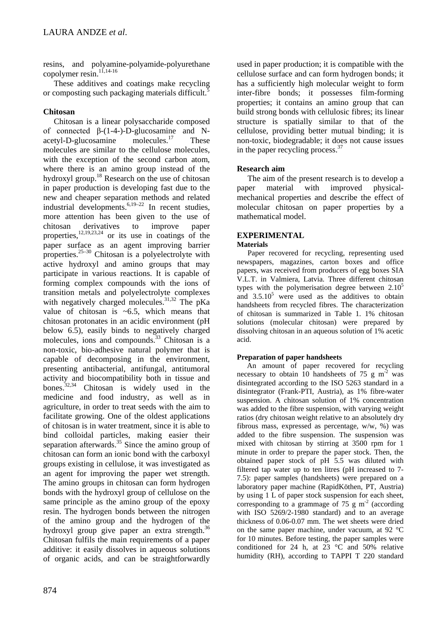resins, and polyamine-polyamide-polyurethane copolymer  $\operatorname{resin}^{1,1,14-16}$ .

These additives and coatings make recycling or composting such packaging materials difficult.<sup>5</sup>

# **Chitosan**

Chitosan is a linear polysaccharide composed of connected  $β-(1-4-)$ -D-glucosamine and N-<br>acetyl-D-glucosamine molecules.<sup>17</sup> These  $acetyl-D-glucosamine$  molecules.<sup>17</sup> These molecules are similar to the cellulose molecules, with the exception of the second carbon atom, where there is an amino group instead of the hydroxyl group.18 Research on the use of chitosan in paper production is developing fast due to the new and cheaper separation methods and related industrial developments.  $6,19-22$  In recent studies, more attention has been given to the use of chitosan derivatives to improve paper properties,<sup>12,19,23,24</sup> or its use in coatings of the paper surface as an agent improving barrier properties. $25-30$  Chitosan is a polyelectrolyte with active hydroxyl and amino groups that may participate in various reactions. It is capable of forming complex compounds with the ions of transition metals and polyelectrolyte complexes with negatively charged molecules.<sup>31,32</sup> The pKa value of chitosan is  $~5$ , which means that chitosan protonates in an acidic environment (pH below 6.5), easily binds to negatively charged molecules, ions and compounds.<sup>33</sup> Chitosan is a non-toxic, bio-adhesive natural polymer that is capable of decomposing in the environment, presenting antibacterial, antifungal, antitumoral activity and biocompatibility both in tissue and bones.32,34 Chitosan is widely used in the medicine and food industry, as well as in agriculture, in order to treat seeds with the aim to facilitate growing. One of the oldest applications of chitosan is in water treatment, since it is able to bind colloidal particles, making easier their separation afterwards. $35$  Since the amino group of chitosan can form an ionic bond with the carboxyl groups existing in cellulose, it was investigated as an agent for improving the paper wet strength. The amino groups in chitosan can form hydrogen bonds with the hydroxyl group of cellulose on the same principle as the amino group of the epoxy resin. The hydrogen bonds between the nitrogen of the amino group and the hydrogen of the hydroxyl group give paper an extra strength.<sup>36</sup> Chitosan fulfils the main requirements of a paper additive: it easily dissolves in aqueous solutions of organic acids, and can be straightforwardly

used in paper production; it is compatible with the cellulose surface and can form hydrogen bonds; it has a sufficiently high molecular weight to form inter-fibre bonds; it possesses film-forming properties; it contains an amino group that can build strong bonds with cellulosic fibres; its linear structure is spatially similar to that of the cellulose, providing better mutual binding; it is non-toxic, biodegradable; it does not cause issues in the paper recycling process.<sup>37</sup>

# **Research aim**

The aim of the present research is to develop a paper material with improved physicalmechanical properties and describe the effect of molecular chitosan on paper properties by a mathematical model.

# **EXPERIMENTAL**

# **Materials**

Paper recovered for recycling, representing used newspapers, magazines, carton boxes and office papers, was received from producers of egg boxes SIA V.L.T. in Valmiera, Latvia. Three different chitosan types with the polymerisation degree between  $2.10<sup>5</sup>$ and  $3.5.10<sup>5</sup>$  were used as the additives to obtain handsheets from recycled fibres. The characterization of chitosan is summarized in Table 1. 1% chitosan solutions (molecular chitosan) were prepared by dissolving chitosan in an aqueous solution of 1% acetic acid.

# **Preparation of paper handsheets**

An amount of paper recovered for recycling necessary to obtain 10 handsheets of 75 g  $m^2$  was disintegrated according to the ISO 5263 standard in a disintegrator (Frank-PTI, Austria), as 1% fibre-water suspension. A chitosan solution of 1% concentration was added to the fibre suspension, with varying weight ratios (dry chitosan weight relative to an absolutely dry fibrous mass, expressed as percentage, w/w, %) was added to the fibre suspension. The suspension was mixed with chitosan by stirring at 3500 rpm for 1 minute in order to prepare the paper stock. Then, the obtained paper stock of pH 5.5 was diluted with filtered tap water up to ten litres (pH increased to 7- 7.5): paper samples (handsheets) were prepared on a laboratory paper machine (RapidKöthen, PT, Austria) by using 1 L of paper stock suspension for each sheet, corresponding to a grammage of 75 g  $m<sup>2</sup>$  (according with ISO 5269/2-1980 standard) and to an average thickness of 0.06-0.07 mm. The wet sheets were dried on the same paper machine, under vacuum, at 92 °C for 10 minutes. Before testing, the paper samples were conditioned for 24 h, at  $23 \text{ °C}$  and  $50\text{ °C}$  relative humidity (RH), according to TAPPI T 220 standard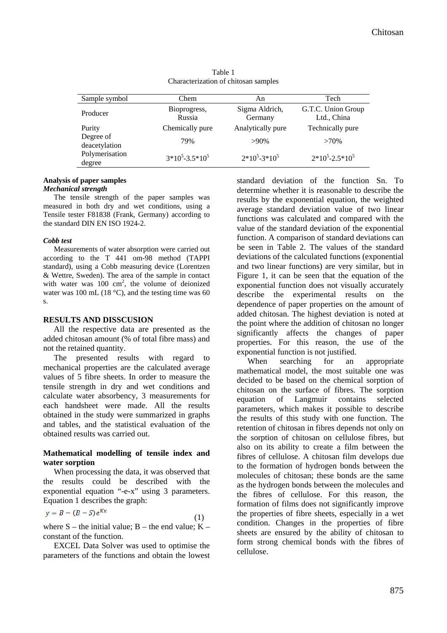| Sample symbol                                          | Chem                   | An                        | Tech                              |
|--------------------------------------------------------|------------------------|---------------------------|-----------------------------------|
| Producer                                               | Bioprogress,<br>Russia | Sigma Aldrich,<br>Germany | G.T.C. Union Group<br>Ltd., China |
| Purity                                                 | Chemically pure        | Analytically pure         | Technically pure                  |
| Degree of<br>deacetylation<br>Polymerisation<br>degree | 79%                    | $>90\%$                   | $>70\%$                           |
|                                                        | $3*10^5 - 3.5*10^5$    | $2*10^5 - 3*10^5$         | $2*10^5 - 2.5*10^5$               |

Table 1 Characterization of chitosan samples

#### **Analysis of paper samples**  *Mechanical strength*

The tensile strength of the paper samples was measured in both dry and wet conditions, using a Tensile tester F81838 (Frank, Germany) according to the standard DIN EN ISO 1924-2.

### *Cobb test*

Measurements of water absorption were carried out according to the T 441 om-98 method (TAPPI standard), using a Cobb measuring device (Lorentzen & Wettre, Sweden). The area of the sample in contact with water was  $100 \text{ cm}^2$ , the volume of deionized water was 100 mL (18 $^{\circ}$ C), and the testing time was 60 s.

### **RESULTS AND DISSCUSION**

All the respective data are presented as the added chitosan amount (% of total fibre mass) and not the retained quantity.

The presented results with regard to mechanical properties are the calculated average values of 5 fibre sheets. In order to measure the tensile strength in dry and wet conditions and calculate water absorbency, 3 measurements for each handsheet were made. All the results obtained in the study were summarized in graphs and tables, and the statistical evaluation of the obtained results was carried out.

# **Mathematical modelling of tensile index and water sorption**

When processing the data, it was observed that the results could be described with the exponential equation "-e-x" using 3 parameters. Equation 1 describes the graph:

$$
y = B - (B - S)e^{Kx} \tag{1}
$$

where  $S$  – the initial value;  $B$  – the end value;  $K$  – constant of the function.

EXCEL Data Solver was used to optimise the parameters of the functions and obtain the lowest standard deviation of the function Sn. To determine whether it is reasonable to describe the results by the exponential equation, the weighted average standard deviation value of two linear functions was calculated and compared with the value of the standard deviation of the exponential function. A comparison of standard deviations can be seen in Table 2. The values of the standard deviations of the calculated functions (exponential and two linear functions) are very similar, but in Figure 1, it can be seen that the equation of the exponential function does not visually accurately describe the experimental results on the dependence of paper properties on the amount of added chitosan. The highest deviation is noted at the point where the addition of chitosan no longer significantly affects the changes of paper properties. For this reason, the use of the exponential function is not justified.

When searching for an appropriate mathematical model, the most suitable one was decided to be based on the chemical sorption of chitosan on the surface of fibres. The sorption equation of Langmuir contains selected parameters, which makes it possible to describe the results of this study with one function. The retention of chitosan in fibres depends not only on the sorption of chitosan on cellulose fibres, but also on its ability to create a film between the fibres of cellulose. A chitosan film develops due to the formation of hydrogen bonds between the molecules of chitosan; these bonds are the same as the hydrogen bonds between the molecules and the fibres of cellulose. For this reason, the formation of films does not significantly improve the properties of fibre sheets, especially in a wet condition. Changes in the properties of fibre sheets are ensured by the ability of chitosan to form strong chemical bonds with the fibres of cellulose.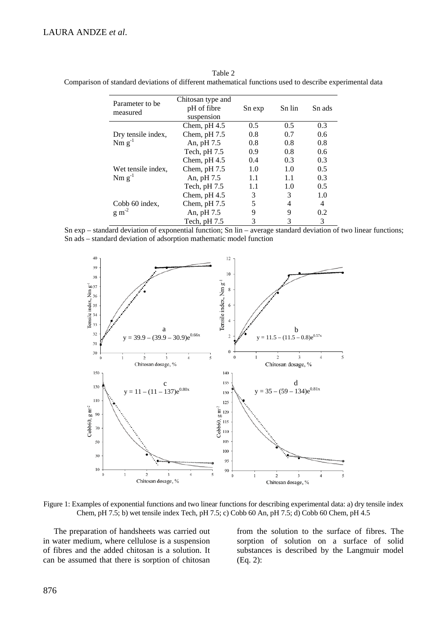| Parameter to be<br>measured              | Chitosan type and<br>pH of fibre | Sn exp | Sn lin        | Sn ads |
|------------------------------------------|----------------------------------|--------|---------------|--------|
|                                          | suspension                       |        |               |        |
| Dry tensile index,<br>$Nm g^{-1}$        | Chem, $pH 4.5$                   | 0.5    | $0.5^{\circ}$ | 0.3    |
|                                          | Chem, $pH 7.5$                   | 0.8    | 0.7           | 0.6    |
|                                          | An, pH 7.5                       | 0.8    | 0.8           | 0.8    |
|                                          | Tech, $pH 7.5$                   | 0.9    | 0.8           | 0.6    |
| Wet tensile index,<br>$Nm g^{-1}$        | Chem, $pH 4.5$                   | 0.4    | 0.3           | 0.3    |
|                                          | Chem, $pH 7.5$                   | 1.0    | 1.0           | 0.5    |
|                                          | An, pH 7.5                       | 1.1    | 1.1           | 0.3    |
|                                          | Tech, $pH 7.5$                   | 1.1    | 1.0           | 0.5    |
| Cobb 60 index,<br>$\rm g\ m^{\text{-}2}$ | Chem, $pH 4.5$                   | 3      | 3             | 1.0    |
|                                          | Chem, $pH 7.5$                   | 5      | 4             | 4      |
|                                          | An, pH 7.5                       | 9      | 9             | 0.2    |
|                                          | Tech, $pH 7.5$                   | 3      | 3             | 3      |

Table 2 Comparison of standard deviations of different mathematical functions used to describe experimental data

Sn exp – standard deviation of exponential function; Sn lin – average standard deviation of two linear functions; Sn ads – standard deviation of adsorption mathematic model function



Figure 1: Examples of exponential functions and two linear functions for describing experimental data: a) dry tensile index Chem, pH 7.5; b) wet tensile index Tech, pH 7.5; c) Cobb 60 An, pH 7.5; d) Cobb 60 Chem, pH 4.5

The preparation of handsheets was carried out in water medium, where cellulose is a suspension of fibres and the added chitosan is a solution. It can be assumed that there is sorption of chitosan

from the solution to the surface of fibres. The sorption of solution on a surface of solid substances is described by the Langmuir model (Eq. 2):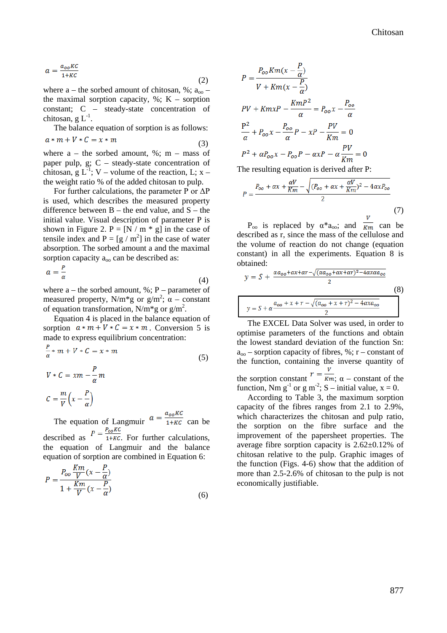$$
a = \frac{a_{oo} \kappa c}{1 + \kappa c} \tag{2}
$$

where  $a$  – the sorbed amount of chitosan, %;  $a_{00}$  – the maximal sorption capacity,  $\%$ ; K – sorption constant; C – steady-state concentration of chitosan, g  $L^{-1}$ .

The balance equation of sorption is as follows:  $a*m+V*C = x*m$ (3)

where  $a -$  the sorbed amount, %; m – mass of paper pulp,  $g: C -$  steady-state concentration of chitosan, g  $L^{-1}$ ; V – volume of the reaction, L; x – the weight ratio % of the added chitosan to pulp.

For further calculations, the parameter P or  $\Delta P$ is used, which describes the measured property difference between  $B -$  the end value, and  $S -$  the initial value. Visual description of parameter P is shown in Figure 2.  $P = [N / m * g]$  in the case of tensile index and  $P = [g / m^2]$  in the case of water absorption. The sorbed amount a and the maximal sorption capacity  $a_{oo}$  can be described as:

$$
a = \frac{r}{\alpha} \tag{4}
$$

where  $a$  – the sorbed amount, %; P – parameter of measured property, N/m<sup>\*</sup>g or  $g/m^2$ ;  $\alpha$  – constant of equation transformation, N/m<sup>\*</sup>g or  $g/m^2$ .

Equation 4 is placed in the balance equation of sorption  $a * m + V * C = x * m$ . Conversion 5 is made to express equilibrium concentration:

$$
\frac{P}{\alpha} * m + V * C = x * m
$$
\n(5)  
\n
$$
V * C = xm - \frac{P}{\alpha}m
$$
\n
$$
C = \frac{m}{V} \left(x - \frac{P}{\alpha}\right)
$$
\nThe equation of Laplace transform at  $\alpha = \frac{a_{oo} K C}{1 + K C}$  can be

 $1+KC$  can be described as  $P = \frac{P_{oo} K C}{1+ K C}$ . For further calculations, the equation of Langmuir and the balance

equation of sorption are combined in Equation 6:  $V_{m}$  $\overline{p}$ 

$$
P = \frac{P_{oo} \frac{nm}{V} (x - \frac{1}{\alpha})}{1 + \frac{Km}{V} (x - \frac{P}{\alpha})}
$$
(6)

$$
P = \frac{P_{oo}Km(x - \frac{P}{\alpha})}{V + Km(x - \frac{P}{\alpha})}
$$
  
\n
$$
PV + KmxP - \frac{KmP^2}{\alpha} = P_{oo}x - \frac{P_{oo}}{\alpha}
$$
  
\n
$$
\frac{P^2}{\alpha} + P_{oo}x - \frac{P_{oo}}{\alpha}P - xP - \frac{PV}{Km} = 0
$$
  
\n
$$
P^2 + \alpha P_{oo}x - P_{oo}P - \alpha xP - \alpha \frac{PV}{Km} = 0
$$
  
\nThe resulting equation is derived after P:

$$
P = \frac{P_{oo} + \alpha x + \frac{\alpha V}{Km} - \sqrt{(P_{oo} + \alpha x + \frac{\alpha V}{Km})^2 - 4\alpha x P_{oo}}}{2}
$$
\n
$$
V
$$
\n(7)

P<sub>oo</sub> is replaced by α\*a<sub>oo</sub>; and  $\overline{km}$  can be described as r, since the mass of the cellulose and the volume of reaction do not change (equation constant) in all the experiments. Equation 8 is obtained:

$$
y = S + \frac{\alpha a_{oo} + \alpha x + \alpha r - \sqrt{(\alpha a_{oo} + \alpha x + \alpha r)^2 - 4\alpha x \alpha a_{oo}}}{2}
$$
  
(8)  

$$
y = S + \alpha \frac{a_{oo} + x + r - \sqrt{(\alpha_{oo} + x + r)^2 - 4\alpha x a_{oo}}}{2}
$$

The EXCEL Data Solver was used, in order to optimise parameters of the functions and obtain the lowest standard deviation of the function Sn:  $a_{00}$  – sorption capacity of fibres, %; r – constant of the function, containing the inverse quantity of the sorption constant  $r = \frac{v}{km}$ ;  $\alpha$  – constant of the function, Nm  $g^{-1}$  or  $g m^{-2}$ ; S – initial value,  $x = 0$ .

According to Table 3, the maximum sorption capacity of the fibres ranges from 2.1 to 2.9%, which characterizes the chitosan and pulp ratio, the sorption on the fibre surface and the improvement of the papersheet properties. The average fibre sorption capacity is 2.62±0.12% of chitosan relative to the pulp. Graphic images of the function (Figs. 4-6) show that the addition of more than 2.5-2.6% of chitosan to the pulp is not economically justifiable.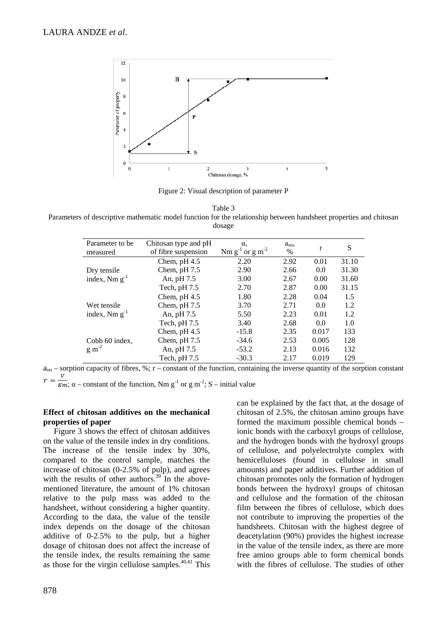

Figure 2: Visual description of parameter P

Table 3

Parameters of descriptive mathematic model function for the relationship between handsheet properties and chitosan dosage

| Parameter to be<br>measured       | Chitosan type and pH<br>of fibre suspension | $\alpha$<br>Nm $g^{-1}$ or $g m^{-2}$ | $a_{\rm oo}$<br>$\%$ | r     | S     |
|-----------------------------------|---------------------------------------------|---------------------------------------|----------------------|-------|-------|
|                                   | Chem, $pH 4.5$                              | 2.20                                  | 2.92                 | 0.01  | 31.10 |
| Dry tensile<br>index, $Nm g^{-1}$ | Chem, $pH 7.5$                              | 2.90                                  | 2.66                 | 0.0   | 31.30 |
|                                   | An, pH 7.5                                  | 3.00                                  | 2.67                 | 0.00  | 31.60 |
|                                   | Tech, $pH 7.5$                              | 2.70                                  | 2.87                 | 0.00  | 31.15 |
|                                   | Chem, $pH 4.5$                              | 1.80                                  | 2.28                 | 0.04  | 1.5   |
| Wet tensile<br>index, $Nm g^{-1}$ | Chem, $pH 7.5$                              | 3.70                                  | 2.71                 | 0.0   | 1.2   |
|                                   | An, pH 7.5                                  | 5.50                                  | 2.23                 | 0.01  | 1.2   |
|                                   | Tech, $pH 7.5$                              | 3.40                                  | 2.68                 | 0.0   | 1.0   |
| Cobb 60 index,<br>$\rm g~m^{-2}$  | Chem, $pH 4.5$                              | $-15.8$                               | 2.35                 | 0.017 | 133   |
|                                   | Chem, $pH 7.5$                              | $-34.6$                               | 2.53                 | 0.005 | 128   |
|                                   | An, pH 7.5                                  | $-53.2$                               | 2.13                 | 0.016 | 132   |
|                                   | Tech, pH 7.5                                | $-30.3$                               | 2.17                 | 0.019 | 129   |

 $a_{00}$  – sorption capacity of fibres, %; r – constant of the function, containing the inverse quantity of the sorption constant

;  $\alpha$  – constant of the function, Nm g<sup>-1</sup> or g m<sup>-2</sup>; S – initial value

### **Effect of chitosan additives on the mechanical properties of paper**

Figure 3 shows the effect of chitosan additives on the value of the tensile index in dry conditions. The increase of the tensile index by 30%, compared to the control sample, matches the increase of chitosan (0-2.5% of pulp), and agrees with the results of other authors.<sup>39</sup> In the abovementioned literature, the amount of 1% chitosan relative to the pulp mass was added to the handsheet, without considering a higher quantity. According to the data, the value of the tensile index depends on the dosage of the chitosan additive of 0-2.5% to the pulp, but a higher dosage of chitosan does not affect the increase of the tensile index, the results remaining the same as those for the virgin cellulose samples.<sup>40,41</sup> This

can be explained by the fact that, at the dosage of chitosan of 2.5%, the chitosan amino groups have formed the maximum possible chemical bonds – ionic bonds with the carboxyl groups of cellulose, and the hydrogen bonds with the hydroxyl groups of cellulose, and polyelectrolyte complex with hemicelluloses (found in cellulose in small amounts) and paper additives. Further addition of chitosan promotes only the formation of hydrogen bonds between the hydroxyl groups of chitosan and cellulose and the formation of the chitosan film between the fibres of cellulose, which does not contribute to improving the properties of the handsheets. Chitosan with the highest degree of deacetylation (90%) provides the highest increase in the value of the tensile index, as there are more free amino groups able to form chemical bonds with the fibres of cellulose. The studies of other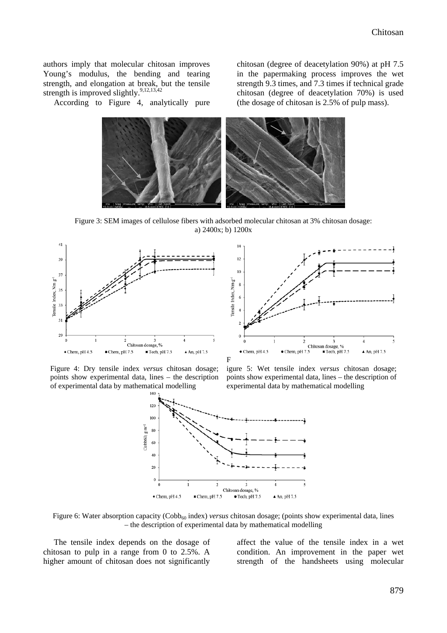authors imply that molecular chitosan improves Young's modulus, the bending and tearing strength, and elongation at break, but the tensile strength is improved slightly.<sup>9,12,13,42</sup>

According to Figure 4, analytically pure

chitosan (degree of deacetylation 90%) at pH 7.5 in the papermaking process improves the wet strength 9.3 times, and 7.3 times if technical grade chitosan (degree of deacetylation 70%) is used (the dosage of chitosan is 2.5% of pulp mass).



Figure 3: SEM images of cellulose fibers with adsorbed molecular chitosan at 3% chitosan dosage: a) 2400x; b) 1200x





Figure 4: Dry tensile index *versus* chitosan dosage; points show experimental data, lines – the description of experimental data by mathematical modelling





Figure 6: Water absorption capacity (Cobb<sub>60</sub> index) *versus* chitosan dosage; (points show experimental data, lines – the description of experimental data by mathematical modelling

The tensile index depends on the dosage of chitosan to pulp in a range from 0 to 2.5%. A higher amount of chitosan does not significantly

affect the value of the tensile index in a wet condition. An improvement in the paper wet strength of the handsheets using molecular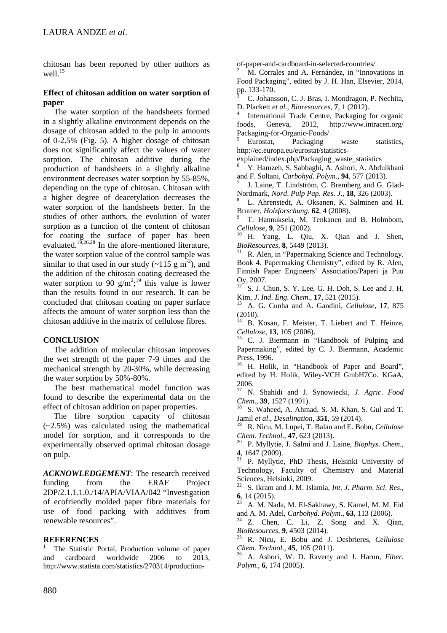chitosan has been reported by other authors as well.<sup>15</sup>

### **Effect of chitosan addition on water sorption of paper**

The water sorption of the handsheets formed in a slightly alkaline environment depends on the dosage of chitosan added to the pulp in amounts of 0-2.5% (Fig. 5). A higher dosage of chitosan does not significantly affect the values of water sorption. The chitosan additive during the production of handsheets in a slightly alkaline environment decreases water sorption by 55-85%, depending on the type of chitosan. Chitosan with a higher degree of deacetylation decreases the water sorption of the handsheets better. In the studies of other authors, the evolution of water sorption as a function of the content of chitosan for coating the surface of paper has been evaluated.<sup>19,26,28</sup> In the afore-mentioned literature, the water sorption value of the control sample was similar to that used in our study  $(-115 \text{ g m}^{-2})$ , and the addition of the chitosan coating decreased the water sorption to 90  $g/m^2$ ;<sup>19</sup> this value is lower than the results found in our research. It can be concluded that chitosan coating on paper surface affects the amount of water sorption less than the chitosan additive in the matrix of cellulose fibres.

# **CONCLUSION**

The addition of molecular chitosan improves the wet strength of the paper 7-9 times and the mechanical strength by 20-30%, while decreasing the water sorption by 50%-80%.

The best mathematical model function was found to describe the experimental data on the effect of chitosan addition on paper properties.

The fibre sorption capacity of chitosan  $(-2.5\%)$  was calculated using the mathematical model for sorption, and it corresponds to the experimentally observed optimal chitosan dosage on pulp.

*ACKNOWLEDGEMENT*: The research received funding from the ERAF Project 2DP/2.1.1.1.0./14/APIA/VIAA/042 "Investigation of ecofriendly molded paper fibre materials for use of food packing with additives from renewable resources".

# **REFERENCES**

The Statistic Portal, Production volume of paper and cardboard worldwide 2006 to 2013, http://www.statista.com/statistics/270314/production-

of-paper-and-cardboard-in-selected-countries/ <sup>2</sup> M. Corrales and A. Fernández, in "Innovations in Food Packaging", edited by J. H. Han, Elsevier, 2014,

pp. 133-170.<br><sup>3</sup> C. Johansson, C. J. Bras, I. Mondragon, P. Nechita, D. Plackett *et al., Bioresources*, 7, 1 (2012).

International Trade Centre, Packaging for organic foods, Geneva, 2012, <http://www.intracen.org/> Packaging-for-Organic-Foods/<br>
<sup>5</sup> Eurostat, Packaging waste statistics,

http://ec.europa.eu/eurostat/statistics-

explained/index.php/Packaging\_waste\_statistics

<sup>6</sup> Y. Hamzeh, S. Sabbaghi, A. Ashori, A. Abdulkhani and F. Soltani, *Carbohyd. Polym.*, **94**, 577 (2013).<br><sup>7</sup> J. Laine, T. Lindström, C. Bremberg and G. Glad-

Nordmark, *Nord*. *Pulp Pap*. *Res*. *<sup>J</sup>*., **<sup>18</sup>**, 326 (2003). <sup>8</sup> L. Ahrenstedt, A. Oksanen, K. Salminen and H.

Brumer, *Holzforschung*, **62**, 4 (2008).<br><sup>9</sup> T. Hannuksela, M. Tenkanen and B. Holmbom, *Cellulose*. **9**, 251 (2002).

**H.** Yang, L. Qiu, X. Qian and J. Shen, *BioResources*, 8, 5449 (2013).<br><sup>11</sup> R. Alen, in "Papermaking Science and Technology.

Book 4. Papermaking Chemistry", edited by R. Alen, Finnish Paper Engineers' Association/Paperi ja Puu Oy, 2007.<br><sup>12</sup> S. J. Chun, S. Y. Lee, G. H. Doh, S. Lee and J. H.

Kim, *J*. *Ind*. *Eng*. *Chem*., **<sup>17</sup>**, 521 (2015). <sup>13</sup> A. G. Cunha and A. Gandini, *Cellulose*, **<sup>17</sup>**, <sup>875</sup> (2010).

<sup>14</sup> B. Kosan, F. Meister, T. Liebert and T. Heinze, *Cellulose*, **<sup>13</sup>**, 105 (2006). <sup>15</sup> C. J. Biermann in "Handbook of Pulping and

Papermaking", edited by C. J. Biermann, Academic Press, 1996.

<sup>16</sup> H. Holik, in "Handbook of Paper and Board", edited by H. Holik, Wiley-VCH GmbH7Co. KGaA, 2006.

<sup>17</sup> N. Shahidi and J. Synowiecki, *J*. *Agric*. *Food Chem.*, **39**, 1527 (1991). <sup>18</sup> S. Waheed, A. Ahmad, S. M. Khan, S. Gul and T.

Jamil *et al*., *Desalination*, **351**, 59 (2014).

<sup>19</sup> R. Nicu, M. Lupei, T. Balan and E. Bobu, *Cellulose*

*Chem*. *Technol*., **<sup>47</sup>**, 623 (2013). <sup>20</sup> P. Myllytie, J. Salmi and J. Laine, *Biophys*. *Chem*.,

**4**, 1647 (2009).<br><sup>21</sup> P. Myllytie, PhD Thesis, Helsinki University of Technology, Faculty of Chemistry and Material Sciences, Helsinki, 2009.

<sup>22</sup> S. Ikram and J. M. Islamia, *Int*. *J*. *Pharm*. *Sci*. *Res*.,

<sup>23</sup> A. M. Nada, M. El-Sakhawy, S. Kamel, M. M. Eid and A. M. Adel, *Carbohyd. Polym.*, **63**, 113 (2006).

<sup>24</sup> Z. Chen, C. Li, Z. Song and X. Qian, *BioResources*, **9**, 4503 (2014).

*BioResources*, **<sup>9</sup>**, 4503 (2014). <sup>25</sup> R. Nicu, E. Bobu and J. Desbrieres, *Cellulose*

*Chem*. *Technol*., **<sup>45</sup>**, 105 (2011). <sup>26</sup> A. Ashori, W. D. Raverty and J. Harun, *Fiber*. *Polym*., **6**, 174 (2005).